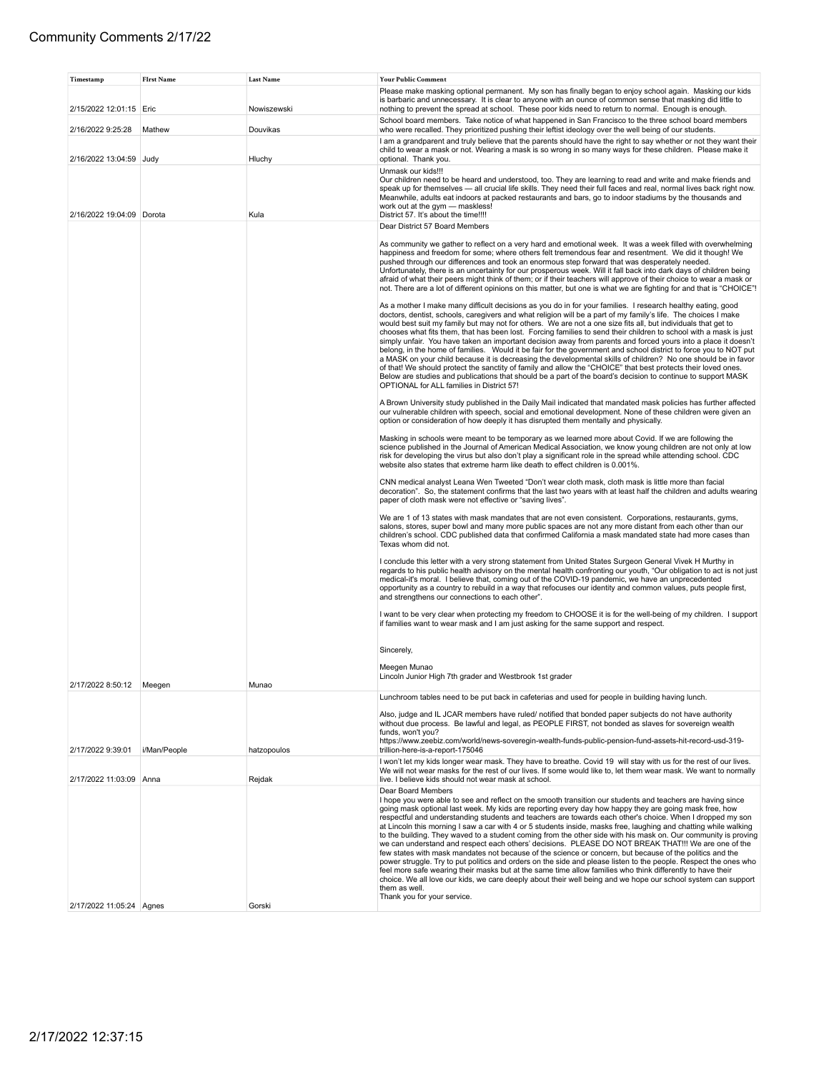| Timestamp                 | <b>FIrst Name</b> | <b>Last Name</b> | <b>Your Public Comment</b>                                                                                                                                                                                                                                                                                                                                                                                                                                                                                                                                                                                                                                                                                                                                                                                                                                                                                                                                                                                                                                                                                                                                                            |
|---------------------------|-------------------|------------------|---------------------------------------------------------------------------------------------------------------------------------------------------------------------------------------------------------------------------------------------------------------------------------------------------------------------------------------------------------------------------------------------------------------------------------------------------------------------------------------------------------------------------------------------------------------------------------------------------------------------------------------------------------------------------------------------------------------------------------------------------------------------------------------------------------------------------------------------------------------------------------------------------------------------------------------------------------------------------------------------------------------------------------------------------------------------------------------------------------------------------------------------------------------------------------------|
| 2/15/2022 12:01:15 Eric   |                   | Nowiszewski      | Please make masking optional permanent. My son has finally began to enjoy school again. Masking our kids<br>is barbaric and unnecessary. It is clear to anyone with an ounce of common sense that masking did little to<br>nothing to prevent the spread at school. These poor kids need to return to normal. Enough is enough.                                                                                                                                                                                                                                                                                                                                                                                                                                                                                                                                                                                                                                                                                                                                                                                                                                                       |
|                           |                   |                  | School board members. Take notice of what happened in San Francisco to the three school board members                                                                                                                                                                                                                                                                                                                                                                                                                                                                                                                                                                                                                                                                                                                                                                                                                                                                                                                                                                                                                                                                                 |
| 2/16/2022 9:25:28         | Mathew            | Douvikas         | who were recalled. They prioritized pushing their leftist ideology over the well being of our students.<br>I am a grandparent and truly believe that the parents should have the right to say whether or not they want their                                                                                                                                                                                                                                                                                                                                                                                                                                                                                                                                                                                                                                                                                                                                                                                                                                                                                                                                                          |
| 2/16/2022 13:04:59 Judy   |                   | Hluchy           | child to wear a mask or not. Wearing a mask is so wrong in so many ways for these children. Please make it<br>optional. Thank you.                                                                                                                                                                                                                                                                                                                                                                                                                                                                                                                                                                                                                                                                                                                                                                                                                                                                                                                                                                                                                                                    |
|                           |                   |                  | Unmask our kids!!!                                                                                                                                                                                                                                                                                                                                                                                                                                                                                                                                                                                                                                                                                                                                                                                                                                                                                                                                                                                                                                                                                                                                                                    |
| 2/16/2022 19:04:09 Dorota |                   | Kula             | Our children need to be heard and understood, too. They are learning to read and write and make friends and<br>speak up for themselves - all crucial life skills. They need their full faces and real, normal lives back right now.<br>Meanwhile, adults eat indoors at packed restaurants and bars, go to indoor stadiums by the thousands and<br>work out at the gym - maskless!<br>District 57. It's about the time!!!!                                                                                                                                                                                                                                                                                                                                                                                                                                                                                                                                                                                                                                                                                                                                                            |
|                           |                   |                  | Dear District 57 Board Members                                                                                                                                                                                                                                                                                                                                                                                                                                                                                                                                                                                                                                                                                                                                                                                                                                                                                                                                                                                                                                                                                                                                                        |
|                           |                   |                  | As community we gather to reflect on a very hard and emotional week. It was a week filled with overwhelming<br>happiness and freedom for some; where others felt tremendous fear and resentment. We did it though! We<br>pushed through our differences and took an enormous step forward that was desperately needed.<br>Unfortunately, there is an uncertainty for our prosperous week. Will it fall back into dark days of children being<br>afraid of what their peers might think of them; or if their teachers will approve of their choice to wear a mask or<br>not. There are a lot of different opinions on this matter, but one is what we are fighting for and that is "CHOICE"!<br>As a mother I make many difficult decisions as you do in for your families. I research healthy eating, good                                                                                                                                                                                                                                                                                                                                                                            |
|                           |                   |                  | doctors, dentist, schools, caregivers and what religion will be a part of my family's life. The choices I make<br>would best suit my family but may not for others. We are not a one size fits all, but individuals that get to<br>chooses what fits them, that has been lost. Forcing families to send their children to school with a mask is just<br>simply unfair. You have taken an important decision away from parents and forced yours into a place it doesn't<br>belong, in the home of families. Would it be fair for the government and school district to force you to NOT put<br>a MASK on your child because it is decreasing the developmental skills of children? No one should be in favor<br>of that! We should protect the sanctity of family and allow the "CHOICE" that best protects their loved ones.<br>Below are studies and publications that should be a part of the board's decision to continue to support MASK<br>OPTIONAL for ALL families in District 57!                                                                                                                                                                                             |
|                           |                   |                  | A Brown University study published in the Daily Mail indicated that mandated mask policies has further affected<br>our vulnerable children with speech, social and emotional development. None of these children were given an<br>option or consideration of how deeply it has disrupted them mentally and physically.                                                                                                                                                                                                                                                                                                                                                                                                                                                                                                                                                                                                                                                                                                                                                                                                                                                                |
|                           |                   |                  | Masking in schools were meant to be temporary as we learned more about Covid. If we are following the<br>science published in the Journal of American Medical Association, we know young children are not only at low<br>risk for developing the virus but also don't play a significant role in the spread while attending school. CDC<br>website also states that extreme harm like death to effect children is 0.001%.                                                                                                                                                                                                                                                                                                                                                                                                                                                                                                                                                                                                                                                                                                                                                             |
|                           |                   |                  | CNN medical analyst Leana Wen Tweeted "Don't wear cloth mask, cloth mask is little more than facial<br>decoration". So, the statement confirms that the last two years with at least half the children and adults wearing<br>paper of cloth mask were not effective or "saving lives".                                                                                                                                                                                                                                                                                                                                                                                                                                                                                                                                                                                                                                                                                                                                                                                                                                                                                                |
|                           |                   |                  | We are 1 of 13 states with mask mandates that are not even consistent. Corporations, restaurants, gyms,<br>salons, stores, super bowl and many more public spaces are not any more distant from each other than our<br>children's school. CDC published data that confirmed California a mask mandated state had more cases than<br>Texas whom did not.                                                                                                                                                                                                                                                                                                                                                                                                                                                                                                                                                                                                                                                                                                                                                                                                                               |
|                           |                   |                  | I conclude this letter with a very strong statement from United States Surgeon General Vivek H Murthy in<br>regards to his public health advisory on the mental health confronting our youth, "Our obligation to act is not just<br>medical-it's moral. I believe that, coming out of the COVID-19 pandemic, we have an unprecedented<br>opportunity as a country to rebuild in a way that refocuses our identity and common values, puts people first,<br>and strengthens our connections to each other".                                                                                                                                                                                                                                                                                                                                                                                                                                                                                                                                                                                                                                                                            |
|                           |                   |                  | I want to be very clear when protecting my freedom to CHOOSE it is for the well-being of my children. I support<br>if families want to wear mask and I am just asking for the same support and respect.                                                                                                                                                                                                                                                                                                                                                                                                                                                                                                                                                                                                                                                                                                                                                                                                                                                                                                                                                                               |
|                           |                   |                  | Sincerely,                                                                                                                                                                                                                                                                                                                                                                                                                                                                                                                                                                                                                                                                                                                                                                                                                                                                                                                                                                                                                                                                                                                                                                            |
| 2/17/2022 8:50:12         | Meegen            | Munao            | Meegen Munao<br>Lincoln Junior High 7th grader and Westbrook 1st grader                                                                                                                                                                                                                                                                                                                                                                                                                                                                                                                                                                                                                                                                                                                                                                                                                                                                                                                                                                                                                                                                                                               |
|                           |                   |                  | Lunchroom tables need to be put back in cafeterias and used for people in building having lunch.                                                                                                                                                                                                                                                                                                                                                                                                                                                                                                                                                                                                                                                                                                                                                                                                                                                                                                                                                                                                                                                                                      |
|                           |                   |                  | Also, judge and IL JCAR members have ruled/ notified that bonded paper subjects do not have authority<br>without due process. Be lawful and legal, as PEOPLE FIRST, not bonded as slaves for sovereign wealth<br>funds, won't you?                                                                                                                                                                                                                                                                                                                                                                                                                                                                                                                                                                                                                                                                                                                                                                                                                                                                                                                                                    |
| 2/17/2022 9:39:01         | i/Man/People      | hatzopoulos      | https://www.zeebiz.com/world/news-soveregin-wealth-funds-public-pension-fund-assets-hit-record-usd-319-<br>trillion-here-is-a-report-175046                                                                                                                                                                                                                                                                                                                                                                                                                                                                                                                                                                                                                                                                                                                                                                                                                                                                                                                                                                                                                                           |
|                           |                   |                  | I won't let my kids longer wear mask. They have to breathe. Covid 19 will stay with us for the rest of our lives.                                                                                                                                                                                                                                                                                                                                                                                                                                                                                                                                                                                                                                                                                                                                                                                                                                                                                                                                                                                                                                                                     |
| 2/17/2022 11:03:09 Anna   |                   | Rejdak           | We will not wear masks for the rest of our lives. If some would like to, let them wear mask. We want to normally<br>live. I believe kids should not wear mask at school.                                                                                                                                                                                                                                                                                                                                                                                                                                                                                                                                                                                                                                                                                                                                                                                                                                                                                                                                                                                                              |
|                           |                   |                  | Dear Board Members<br>I hope you were able to see and reflect on the smooth transition our students and teachers are having since<br>going mask optional last week. My kids are reporting every day how happy they are going mask free, how<br>respectful and understanding students and teachers are towards each other's choice. When I dropped my son<br>at Lincoln this morning I saw a car with 4 or 5 students inside, masks free, laughing and chatting while walking<br>to the building. They waved to a student coming from the other side with his mask on. Our community is proving<br>we can understand and respect each others' decisions. PLEASE DO NOT BREAK THAT!!! We are one of the<br>few states with mask mandates not because of the science or concern, but because of the politics and the<br>power struggle. Try to put politics and orders on the side and please listen to the people. Respect the ones who<br>feel more safe wearing their masks but at the same time allow families who think differently to have their<br>choice. We all love our kids, we care deeply about their well being and we hope our school system can support<br>them as well. |
| 2/17/2022 11:05:24 Agnes  |                   | Gorski           | Thank you for your service.                                                                                                                                                                                                                                                                                                                                                                                                                                                                                                                                                                                                                                                                                                                                                                                                                                                                                                                                                                                                                                                                                                                                                           |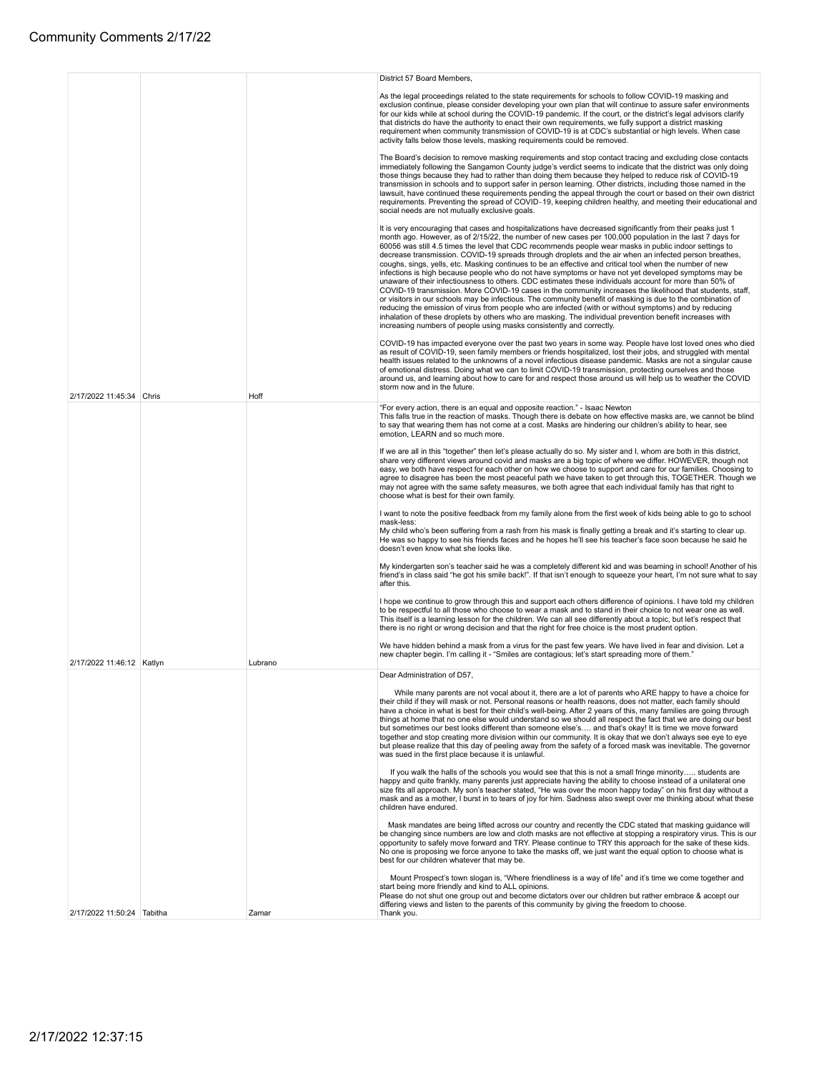|                            |         | District 57 Board Members,                                                                                                                                                                                                                                                                                                                                                                                                                                                                                                                                                                                                                                                                                                                                                                                                                                                                                                                                                                                                                                                                                                                                                                                                                                                                            |
|----------------------------|---------|-------------------------------------------------------------------------------------------------------------------------------------------------------------------------------------------------------------------------------------------------------------------------------------------------------------------------------------------------------------------------------------------------------------------------------------------------------------------------------------------------------------------------------------------------------------------------------------------------------------------------------------------------------------------------------------------------------------------------------------------------------------------------------------------------------------------------------------------------------------------------------------------------------------------------------------------------------------------------------------------------------------------------------------------------------------------------------------------------------------------------------------------------------------------------------------------------------------------------------------------------------------------------------------------------------|
|                            |         | As the legal proceedings related to the state requirements for schools to follow COVID-19 masking and<br>exclusion continue, please consider developing your own plan that will continue to assure safer environments<br>for our kids while at school during the COVID-19 pandemic. If the court, or the district's legal advisors clarify<br>that districts do have the authority to enact their own requirements, we fully support a district masking<br>requirement when community transmission of COVID-19 is at CDC's substantial or high levels. When case<br>activity falls below those levels, masking requirements could be removed.                                                                                                                                                                                                                                                                                                                                                                                                                                                                                                                                                                                                                                                         |
|                            |         | The Board's decision to remove masking requirements and stop contact tracing and excluding close contacts<br>immediately following the Sangamon County judge's verdict seems to indicate that the district was only doing<br>those things because they had to rather than doing them because they helped to reduce risk of COVID-19<br>transmission in schools and to support safer in person learning. Other districts, including those named in the<br>lawsuit, have continued these requirements pending the appeal through the court or based on their own district<br>requirements. Preventing the spread of COVID-19, keeping children healthy, and meeting their educational and<br>social needs are not mutually exclusive goals.                                                                                                                                                                                                                                                                                                                                                                                                                                                                                                                                                             |
|                            |         | It is very encouraging that cases and hospitalizations have decreased significantly from their peaks just 1<br>month ago. However, as of 2/15/22, the number of new cases per 100,000 population in the last 7 days for<br>60056 was still 4.5 times the level that CDC recommends people wear masks in public indoor settings to<br>decrease transmission. COVID-19 spreads through droplets and the air when an infected person breathes,<br>coughs, sings, yells, etc. Masking continues to be an effective and critical tool when the number of new<br>infections is high because people who do not have symptoms or have not yet developed symptoms may be<br>unaware of their infectiousness to others. CDC estimates these individuals account for more than 50% of<br>COVID-19 transmission. More COVID-19 cases in the community increases the likelihood that students, staff,<br>or visitors in our schools may be infectious. The community benefit of masking is due to the combination of<br>reducing the emission of virus from people who are infected (with or without symptoms) and by reducing<br>inhalation of these droplets by others who are masking. The individual prevention benefit increases with<br>increasing numbers of people using masks consistently and correctly. |
|                            |         | COVID-19 has impacted everyone over the past two years in some way. People have lost loved ones who died<br>as result of COVID-19, seen family members or friends hospitalized, lost their jobs, and struggled with mental<br>health issues related to the unknowns of a novel infectious disease pandemic. Masks are not a singular cause<br>of emotional distress. Doing what we can to limit COVID-19 transmission, protecting ourselves and those<br>around us, and learning about how to care for and respect those around us will help us to weather the COVID<br>storm now and in the future.                                                                                                                                                                                                                                                                                                                                                                                                                                                                                                                                                                                                                                                                                                  |
| 2/17/2022 11:45:34 Chris   | Hoff    | "For every action, there is an equal and opposite reaction." - Isaac Newton<br>This falls true in the reaction of masks. Though there is debate on how effective masks are, we cannot be blind<br>to say that wearing them has not come at a cost. Masks are hindering our children's ability to hear, see<br>emotion, LEARN and so much more.                                                                                                                                                                                                                                                                                                                                                                                                                                                                                                                                                                                                                                                                                                                                                                                                                                                                                                                                                        |
|                            |         | If we are all in this "together" then let's please actually do so. My sister and I, whom are both in this district,<br>share very different views around covid and masks are a big topic of where we differ. HOWEVER, though not<br>easy, we both have respect for each other on how we choose to support and care for our families. Choosing to<br>agree to disagree has been the most peaceful path we have taken to get through this, TOGETHER. Though we<br>may not agree with the same safety measures, we both agree that each individual family has that right to<br>choose what is best for their own family.                                                                                                                                                                                                                                                                                                                                                                                                                                                                                                                                                                                                                                                                                 |
|                            |         | I want to note the positive feedback from my family alone from the first week of kids being able to go to school                                                                                                                                                                                                                                                                                                                                                                                                                                                                                                                                                                                                                                                                                                                                                                                                                                                                                                                                                                                                                                                                                                                                                                                      |
|                            |         | mask-less:<br>My child who's been suffering from a rash from his mask is finally getting a break and it's starting to clear up.<br>He was so happy to see his friends faces and he hopes he'll see his teacher's face soon because he said he<br>doesn't even know what she looks like.                                                                                                                                                                                                                                                                                                                                                                                                                                                                                                                                                                                                                                                                                                                                                                                                                                                                                                                                                                                                               |
|                            |         | My kindergarten son's teacher said he was a completely different kid and was beaming in school! Another of his<br>friend's in class said "he got his smile back!". If that isn't enough to squeeze your heart, I'm not sure what to say<br>after this.                                                                                                                                                                                                                                                                                                                                                                                                                                                                                                                                                                                                                                                                                                                                                                                                                                                                                                                                                                                                                                                |
|                            |         | I hope we continue to grow through this and support each others difference of opinions. I have told my children<br>to be respectful to all those who choose to wear a mask and to stand in their choice to not wear one as well.<br>This itself is a learning lesson for the children. We can all see differently about a topic, but let's respect that<br>there is no right or wrong decision and that the right for free choice is the most prudent option.                                                                                                                                                                                                                                                                                                                                                                                                                                                                                                                                                                                                                                                                                                                                                                                                                                         |
| 2/17/2022 11:46:12 Katlyn  | Lubrano | We have hidden behind a mask from a virus for the past few years. We have lived in fear and division. Let a<br>new chapter begin. I'm calling it - "Smiles are contagious; let's start spreading more of them."                                                                                                                                                                                                                                                                                                                                                                                                                                                                                                                                                                                                                                                                                                                                                                                                                                                                                                                                                                                                                                                                                       |
|                            |         | Dear Administration of D57,                                                                                                                                                                                                                                                                                                                                                                                                                                                                                                                                                                                                                                                                                                                                                                                                                                                                                                                                                                                                                                                                                                                                                                                                                                                                           |
|                            |         | While many parents are not vocal about it, there are a lot of parents who ARE happy to have a choice for<br>their child if they will mask or not. Personal reasons or health reasons, does not matter, each family should<br>have a choice in what is best for their child's well-being. After 2 years of this, many families are going through<br>things at home that no one else would understand so we should all respect the fact that we are doing our best<br>but sometimes our best looks different than someone else's and that's okay! It is time we move forward<br>together and stop creating more division within our community. It is okay that we don't always see eye to eye<br>but please realize that this day of peeling away from the safety of a forced mask was inevitable. The governor<br>was sued in the first place because it is unlawful.                                                                                                                                                                                                                                                                                                                                                                                                                                  |
|                            |         | If you walk the halls of the schools you would see that this is not a small fringe minority students are<br>happy and quite frankly, many parents just appreciate having the ability to choose instead of a unilateral one<br>size fits all approach. My son's teacher stated, "He was over the moon happy today" on his first day without a<br>mask and as a mother, I burst in to tears of joy for him. Sadness also swept over me thinking about what these<br>children have endured.                                                                                                                                                                                                                                                                                                                                                                                                                                                                                                                                                                                                                                                                                                                                                                                                              |
|                            |         | Mask mandates are being lifted across our country and recently the CDC stated that masking guidance will<br>be changing since numbers are low and cloth masks are not effective at stopping a respiratory virus. This is our<br>opportunity to safely move forward and TRY. Please continue to TRY this approach for the sake of these kids.<br>No one is proposing we force anyone to take the masks off, we just want the equal option to choose what is<br>best for our children whatever that may be.                                                                                                                                                                                                                                                                                                                                                                                                                                                                                                                                                                                                                                                                                                                                                                                             |
| 2/17/2022 11:50:24 Tabitha | Zamar   | Mount Prospect's town slogan is, "Where friendliness is a way of life" and it's time we come together and<br>start being more friendly and kind to ALL opinions.<br>Please do not shut one group out and become dictators over our children but rather embrace & accept our<br>differing views and listen to the parents of this community by giving the freedom to choose.<br>Thank you.                                                                                                                                                                                                                                                                                                                                                                                                                                                                                                                                                                                                                                                                                                                                                                                                                                                                                                             |